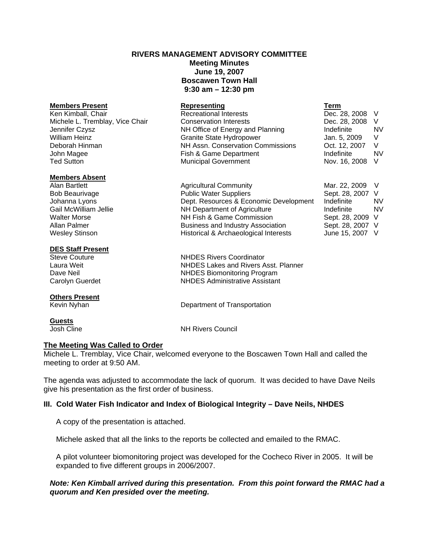# **RIVERS MANAGEMENT ADVISORY COMMITTEE Meeting Minutes June 19, 2007 Boscawen Town Hall 9:30 am – 12:30 pm**

| <b>Members Present</b>          | Representing                      | Term            |           |
|---------------------------------|-----------------------------------|-----------------|-----------|
| Ken Kimball, Chair              | Recreational Interests            | Dec. 28, 2008 V |           |
| Michele L. Tremblay, Vice Chair | <b>Conservation Interests</b>     | Dec. 28, 2008   | - V       |
| Jennifer Czysz                  | NH Office of Energy and Planning  | Indefinite      | <b>NV</b> |
| William Heinz                   | <b>Granite State Hydropower</b>   | Jan. 5, 2009    | -V        |
| Deborah Hinman                  | NH Assn. Conservation Commissions | Oct. 12, 2007   | - V       |
| John Magee                      | Fish & Game Department            | Indefinite      | NV        |
| Ted Sutton                      | <b>Municipal Government</b>       | Nov. 16, 2008   | V         |

#### **Members Absent**

Alan Bartlett **Agricultural Community** Mar. 22, 2009 V Bob Beaurivage The Rublic Water Suppliers Communic Sept. 28, 2007 V Johanna Lyons Dept. Resources & Economic Development Indefinite NV Gail McWilliam Jellie **NH Department of Agriculture** Indefinite Indefinite In NV Walter Morse **NH Fish & Game Commission** Sept. 28, 2009 V Allan Palmer **Business and Industry Association** Sept. 28, 2007 V<br>Wesley Stinson **Business Acchaeological Interests** June 15, 2007 V Wesley Stinson **Historical & Archaeological Interests** 

# **DES Staff Present**<br>Steve Couture

# **Others Present**<br>Kevin Nyhan

**Guests**

Laura Weit NHDES Lakes and Rivers Asst. Planner Dave Neil NHDES Biomonitoring Program Carolyn Guerdet NHDES Administrative Assistant

Department of Transportation

NHDES Rivers Coordinator

**NH Rivers Council** 

# **The Meeting Was Called to Order**

Michele L. Tremblay, Vice Chair, welcomed everyone to the Boscawen Town Hall and called the meeting to order at 9:50 AM.

The agenda was adjusted to accommodate the lack of quorum. It was decided to have Dave Neils give his presentation as the first order of business.

# **III. Cold Water Fish Indicator and Index of Biological Integrity – Dave Neils, NHDES**

A copy of the presentation is attached.

Michele asked that all the links to the reports be collected and emailed to the RMAC.

A pilot volunteer biomonitoring project was developed for the Cocheco River in 2005. It will be expanded to five different groups in 2006/2007.

# *Note: Ken Kimball arrived during this presentation. From this point forward the RMAC had a quorum and Ken presided over the meeting.*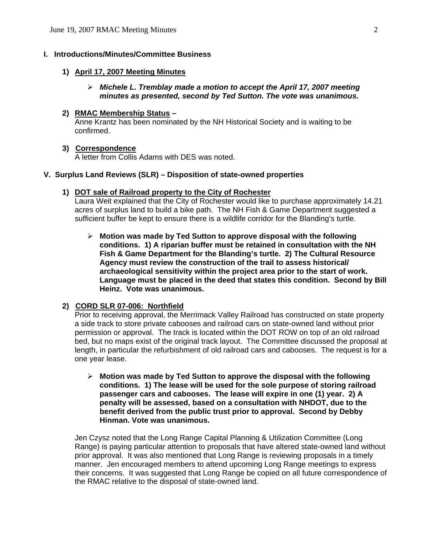# **I. Introductions/Minutes/Committee Business**

#### **1) April 17, 2007 Meeting Minutes**

# ¾ *Michele L. Tremblay made a motion to accept the April 17, 2007 meeting minutes as presented, second by Ted Sutton. The vote was unanimous.*

#### **2) RMAC Membership Status –**

Anne Krantz has been nominated by the NH Historical Society and is waiting to be confirmed.

#### **3) Correspondence**

A letter from Collis Adams with DES was noted.

# **V. Surplus Land Reviews (SLR) – Disposition of state-owned properties**

#### **1) DOT sale of Railroad property to the City of Rochester**

Laura Weit explained that the City of Rochester would like to purchase approximately 14.21 acres of surplus land to build a bike path. The NH Fish & Game Department suggested a sufficient buffer be kept to ensure there is a wildlife corridor for the Blanding's turtle.

¾ **Motion was made by Ted Sutton to approve disposal with the following conditions. 1) A riparian buffer must be retained in consultation with the NH Fish & Game Department for the Blanding's turtle. 2) The Cultural Resource Agency must review the construction of the trail to assess historical/ archaeological sensitivity within the project area prior to the start of work. Language must be placed in the deed that states this condition. Second by Bill Heinz. Vote was unanimous.**

# **2) CORD SLR 07-006: Northfield**

Prior to receiving approval, the Merrimack Valley Railroad has constructed on state property a side track to store private cabooses and railroad cars on state-owned land without prior permission or approval. The track is located within the DOT ROW on top of an old railroad bed, but no maps exist of the original track layout. The Committee discussed the proposal at length, in particular the refurbishment of old railroad cars and cabooses. The request is for a one year lease.

¾ **Motion was made by Ted Sutton to approve the disposal with the following conditions. 1) The lease will be used for the sole purpose of storing railroad passenger cars and cabooses. The lease will expire in one (1) year. 2) A penalty will be assessed, based on a consultation with NHDOT, due to the benefit derived from the public trust prior to approval. Second by Debby Hinman. Vote was unanimous.**

Jen Czysz noted that the Long Range Capital Planning & Utilization Committee (Long Range) is paying particular attention to proposals that have altered state-owned land without prior approval. It was also mentioned that Long Range is reviewing proposals in a timely manner. Jen encouraged members to attend upcoming Long Range meetings to express their concerns. It was suggested that Long Range be copied on all future correspondence of the RMAC relative to the disposal of state-owned land.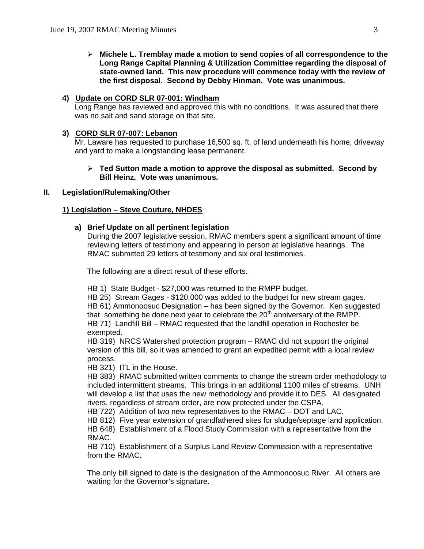¾ **Michele L. Tremblay made a motion to send copies of all correspondence to the Long Range Capital Planning & Utilization Committee regarding the disposal of state-owned land. This new procedure will commence today with the review of the first disposal. Second by Debby Hinman. Vote was unanimous.**

# **4) Update on CORD SLR 07-001: Windham**

Long Range has reviewed and approved this with no conditions. It was assured that there was no salt and sand storage on that site.

## **3) CORD SLR 07-007: Lebanon**

Mr. Laware has requested to purchase 16,500 sq. ft. of land underneath his home, driveway and yard to make a longstanding lease permanent.

## ¾ **Ted Sutton made a motion to approve the disposal as submitted. Second by Bill Heinz. Vote was unanimous.**

#### **II. Legislation/Rulemaking/Other**

#### **1) Legislation – Steve Couture, NHDES**

#### **a) Brief Update on all pertinent legislation**

During the 2007 legislative session, RMAC members spent a significant amount of time reviewing letters of testimony and appearing in person at legislative hearings. The RMAC submitted 29 letters of testimony and six oral testimonies.

The following are a direct result of these efforts.

HB 1) State Budget - \$27,000 was returned to the RMPP budget.

HB 25) Stream Gages - \$120,000 was added to the budget for new stream gages. HB 61) Ammonoosuc Designation – has been signed by the Governor. Ken suggested that something be done next year to celebrate the 20<sup>th</sup> anniversary of the RMPP. HB 71) Landfill Bill – RMAC requested that the landfill operation in Rochester be exempted.

HB 319) NRCS Watershed protection program – RMAC did not support the original version of this bill, so it was amended to grant an expedited permit with a local review process.

HB 321) ITL in the House.

HB 383) RMAC submitted written comments to change the stream order methodology to included intermittent streams. This brings in an additional 1100 miles of streams. UNH will develop a list that uses the new methodology and provide it to DES. All designated rivers, regardless of stream order, are now protected under the CSPA.

HB 722) Addition of two new representatives to the RMAC – DOT and LAC.

HB 812) Five year extension of grandfathered sites for sludge/septage land application.

HB 648) Establishment of a Flood Study Commission with a representative from the RMAC.

HB 710) Establishment of a Surplus Land Review Commission with a representative from the RMAC.

The only bill signed to date is the designation of the Ammonoosuc River. All others are waiting for the Governor's signature.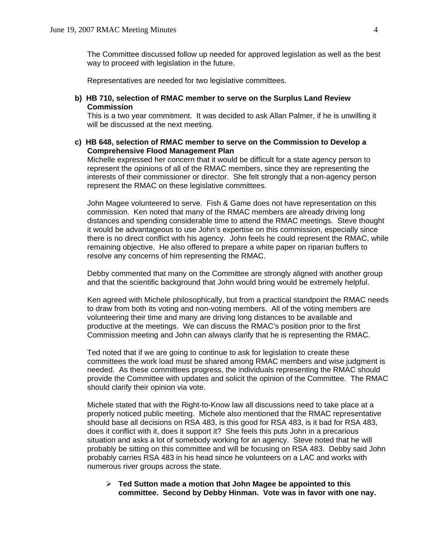The Committee discussed follow up needed for approved legislation as well as the best way to proceed with legislation in the future.

Representatives are needed for two legislative committees.

**b) HB 710, selection of RMAC member to serve on the Surplus Land Review Commission** 

This is a two year commitment. It was decided to ask Allan Palmer, if he is unwilling it will be discussed at the next meeting.

**c) HB 648, selection of RMAC member to serve on the Commission to Develop a Comprehensive Flood Management Plan** 

Michelle expressed her concern that it would be difficult for a state agency person to represent the opinions of all of the RMAC members, since they are representing the interests of their commissioner or director. She felt strongly that a non-agency person represent the RMAC on these legislative committees.

John Magee volunteered to serve. Fish & Game does not have representation on this commission. Ken noted that many of the RMAC members are already driving long distances and spending considerable time to attend the RMAC meetings. Steve thought it would be advantageous to use John's expertise on this commission, especially since there is no direct conflict with his agency. John feels he could represent the RMAC, while remaining objective. He also offered to prepare a white paper on riparian buffers to resolve any concerns of him representing the RMAC.

Debby commented that many on the Committee are strongly aligned with another group and that the scientific background that John would bring would be extremely helpful.

Ken agreed with Michele philosophically, but from a practical standpoint the RMAC needs to draw from both its voting and non-voting members. All of the voting members are volunteering their time and many are driving long distances to be available and productive at the meetings. We can discuss the RMAC's position prior to the first Commission meeting and John can always clarify that he is representing the RMAC.

Ted noted that if we are going to continue to ask for legislation to create these committees the work load must be shared among RMAC members and wise judgment is needed. As these committees progress, the individuals representing the RMAC should provide the Committee with updates and solicit the opinion of the Committee. The RMAC should clarify their opinion via vote.

Michele stated that with the Right-to-Know law all discussions need to take place at a properly noticed public meeting. Michele also mentioned that the RMAC representative should base all decisions on RSA 483, is this good for RSA 483, is it bad for RSA 483, does it conflict with it, does it support it? She feels this puts John in a precarious situation and asks a lot of somebody working for an agency. Steve noted that he will probably be sitting on this committee and will be focusing on RSA 483. Debby said John probably carries RSA 483 in his head since he volunteers on a LAC and works with numerous river groups across the state.

¾ **Ted Sutton made a motion that John Magee be appointed to this committee. Second by Debby Hinman. Vote was in favor with one nay.**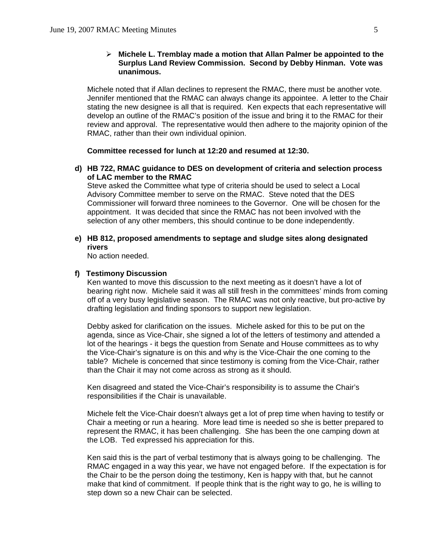## ¾ **Michele L. Tremblay made a motion that Allan Palmer be appointed to the Surplus Land Review Commission. Second by Debby Hinman. Vote was unanimous.**

Michele noted that if Allan declines to represent the RMAC, there must be another vote. Jennifer mentioned that the RMAC can always change its appointee. A letter to the Chair stating the new designee is all that is required. Ken expects that each representative will develop an outline of the RMAC's position of the issue and bring it to the RMAC for their review and approval. The representative would then adhere to the majority opinion of the RMAC, rather than their own individual opinion.

**Committee recessed for lunch at 12:20 and resumed at 12:30.** 

# **d) HB 722, RMAC guidance to DES on development of criteria and selection process of LAC member to the RMAC**

Steve asked the Committee what type of criteria should be used to select a Local Advisory Committee member to serve on the RMAC. Steve noted that the DES Commissioner will forward three nominees to the Governor. One will be chosen for the appointment. It was decided that since the RMAC has not been involved with the selection of any other members, this should continue to be done independently.

# **e) HB 812, proposed amendments to septage and sludge sites along designated rivers**

No action needed.

#### **f) Testimony Discussion**

Ken wanted to move this discussion to the next meeting as it doesn't have a lot of bearing right now. Michele said it was all still fresh in the committees' minds from coming off of a very busy legislative season. The RMAC was not only reactive, but pro-active by drafting legislation and finding sponsors to support new legislation.

Debby asked for clarification on the issues. Michele asked for this to be put on the agenda, since as Vice-Chair, she signed a lot of the letters of testimony and attended a lot of the hearings - it begs the question from Senate and House committees as to why the Vice-Chair's signature is on this and why is the Vice-Chair the one coming to the table? Michele is concerned that since testimony is coming from the Vice-Chair, rather than the Chair it may not come across as strong as it should.

Ken disagreed and stated the Vice-Chair's responsibility is to assume the Chair's responsibilities if the Chair is unavailable.

Michele felt the Vice-Chair doesn't always get a lot of prep time when having to testify or Chair a meeting or run a hearing. More lead time is needed so she is better prepared to represent the RMAC, it has been challenging. She has been the one camping down at the LOB. Ted expressed his appreciation for this.

Ken said this is the part of verbal testimony that is always going to be challenging. The RMAC engaged in a way this year, we have not engaged before. If the expectation is for the Chair to be the person doing the testimony, Ken is happy with that, but he cannot make that kind of commitment. If people think that is the right way to go, he is willing to step down so a new Chair can be selected.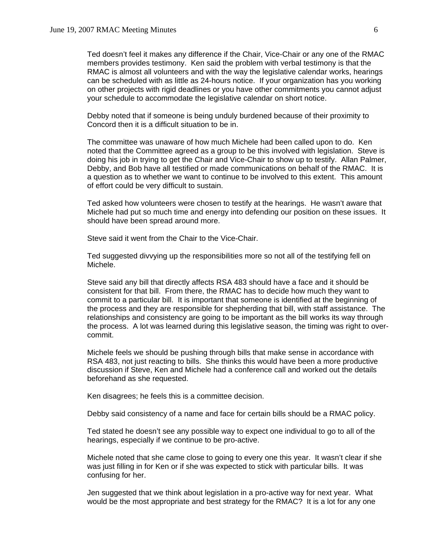Ted doesn't feel it makes any difference if the Chair, Vice-Chair or any one of the RMAC members provides testimony. Ken said the problem with verbal testimony is that the RMAC is almost all volunteers and with the way the legislative calendar works, hearings can be scheduled with as little as 24-hours notice. If your organization has you working on other projects with rigid deadlines or you have other commitments you cannot adjust your schedule to accommodate the legislative calendar on short notice.

Debby noted that if someone is being unduly burdened because of their proximity to Concord then it is a difficult situation to be in.

The committee was unaware of how much Michele had been called upon to do. Ken noted that the Committee agreed as a group to be this involved with legislation. Steve is doing his job in trying to get the Chair and Vice-Chair to show up to testify. Allan Palmer, Debby, and Bob have all testified or made communications on behalf of the RMAC. It is a question as to whether we want to continue to be involved to this extent. This amount of effort could be very difficult to sustain.

Ted asked how volunteers were chosen to testify at the hearings. He wasn't aware that Michele had put so much time and energy into defending our position on these issues. It should have been spread around more.

Steve said it went from the Chair to the Vice-Chair.

Ted suggested divvying up the responsibilities more so not all of the testifying fell on Michele.

Steve said any bill that directly affects RSA 483 should have a face and it should be consistent for that bill. From there, the RMAC has to decide how much they want to commit to a particular bill. It is important that someone is identified at the beginning of the process and they are responsible for shepherding that bill, with staff assistance. The relationships and consistency are going to be important as the bill works its way through the process. A lot was learned during this legislative season, the timing was right to overcommit.

Michele feels we should be pushing through bills that make sense in accordance with RSA 483, not just reacting to bills. She thinks this would have been a more productive discussion if Steve, Ken and Michele had a conference call and worked out the details beforehand as she requested.

Ken disagrees; he feels this is a committee decision.

Debby said consistency of a name and face for certain bills should be a RMAC policy.

Ted stated he doesn't see any possible way to expect one individual to go to all of the hearings, especially if we continue to be pro-active.

Michele noted that she came close to going to every one this year. It wasn't clear if she was just filling in for Ken or if she was expected to stick with particular bills. It was confusing for her.

Jen suggested that we think about legislation in a pro-active way for next year. What would be the most appropriate and best strategy for the RMAC? It is a lot for any one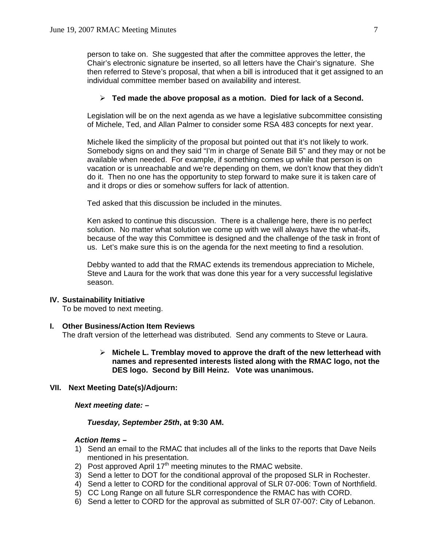person to take on. She suggested that after the committee approves the letter, the Chair's electronic signature be inserted, so all letters have the Chair's signature. She then referred to Steve's proposal, that when a bill is introduced that it get assigned to an individual committee member based on availability and interest.

#### ¾ **Ted made the above proposal as a motion. Died for lack of a Second.**

Legislation will be on the next agenda as we have a legislative subcommittee consisting of Michele, Ted, and Allan Palmer to consider some RSA 483 concepts for next year.

Michele liked the simplicity of the proposal but pointed out that it's not likely to work. Somebody signs on and they said "I'm in charge of Senate Bill 5" and they may or not be available when needed. For example, if something comes up while that person is on vacation or is unreachable and we're depending on them, we don't know that they didn't do it. Then no one has the opportunity to step forward to make sure it is taken care of and it drops or dies or somehow suffers for lack of attention.

Ted asked that this discussion be included in the minutes.

Ken asked to continue this discussion. There is a challenge here, there is no perfect solution. No matter what solution we come up with we will always have the what-ifs, because of the way this Committee is designed and the challenge of the task in front of us. Let's make sure this is on the agenda for the next meeting to find a resolution.

Debby wanted to add that the RMAC extends its tremendous appreciation to Michele, Steve and Laura for the work that was done this year for a very successful legislative season.

# **IV. Sustainability Initiative**

To be moved to next meeting.

#### **I. Other Business/Action Item Reviews**

The draft version of the letterhead was distributed. Send any comments to Steve or Laura.

¾ **Michele L. Tremblay moved to approve the draft of the new letterhead with names and represented interests listed along with the RMAC logo, not the DES logo. Second by Bill Heinz. Vote was unanimous.**

#### **VII. Next Meeting Date(s)/Adjourn:**

*Next meeting date: –* 

#### *Tuesday, September 25th***, at 9:30 AM.**

#### *Action Items –*

- 1) Send an email to the RMAC that includes all of the links to the reports that Dave Neils mentioned in his presentation.
- 2) Post approved April  $17<sup>th</sup>$  meeting minutes to the RMAC website.
- 3) Send a letter to DOT for the conditional approval of the proposed SLR in Rochester.
- 4) Send a letter to CORD for the conditional approval of SLR 07-006: Town of Northfield.
- 5) CC Long Range on all future SLR correspondence the RMAC has with CORD.
- 6) Send a letter to CORD for the approval as submitted of SLR 07-007: City of Lebanon.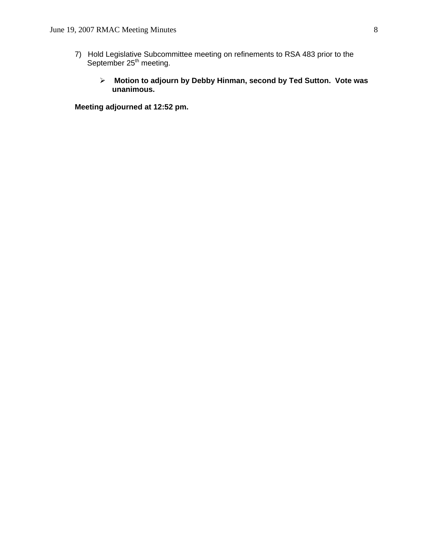- 7) Hold Legislative Subcommittee meeting on refinements to RSA 483 prior to the September 25<sup>th</sup> meeting.
	- ¾ **Motion to adjourn by Debby Hinman, second by Ted Sutton. Vote was unanimous.**

**Meeting adjourned at 12:52 pm.**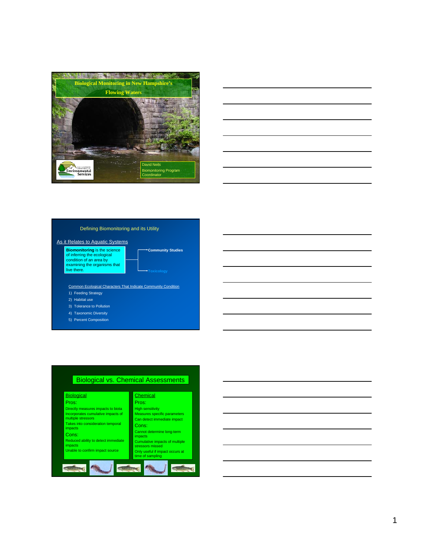



#### Defining Biomonitoring and its Utility

#### As it Relates to Aquatic Systems

**Biomonitoring** is the science of inferring the ecological condition of an area by examining the organisms that<br>live there.

Common Ecological Characters That Indicate Community Condition

**Community Studies**

- 1) Feeding Strategy
- 2) Habitat use
- 3) Tolerance to Pollution
- 4) Taxonomic Diversity
- 5) Percent Composition

#### **Biological vs. Chemical Assessments Biological Chemical** Pros: Pros: Directly measures impacts to biota High sensitivity Measures specific parameters ncorporates cumulative impacts of noorporatoo oama<br>nultiple stressors Can detect immediate impact Takes into consideration temporal Cons: ance ..<br>npacts Cannot determine long-term Cons: mpacts Reduced ability to detect immediate Cumulative impacts of multiple mpacts stressors missed Unable to confirm impact source Only useful if impact occurs at time of sampling $466$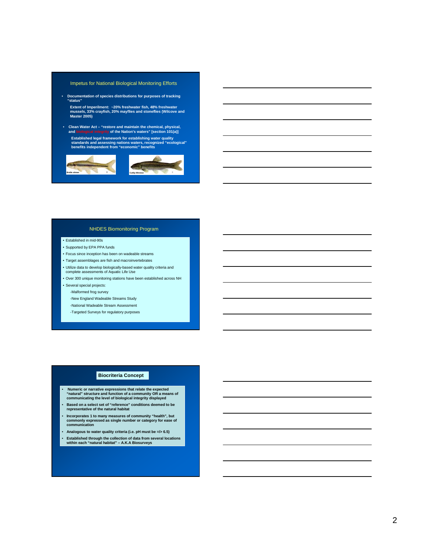#### Impetus for National Biological Monitoring Efforts

• **Documentation of species distributions for purposes of tracking "status"**

**Extent of Imperilment: ~20% freshwater fish, 48% freshwater mussels, 33% crayfish, 20% mayflies and stoneflies (Wilcove and Master 2005)**

• **Clean Water Act – "restore and maintain the chemical, physical, and biological integrity of the Nation's waters" [section 101(a)] Established legal framework for establishing water quality standards and assessing nations waters, recognized "ecological" benefits independent from "economic" benefits**



#### NHDES Biomonitoring Program

#### • Established in mid-90s

- Supported by EPA PPA funds
- Focus since inception has been on wadeable streams
- Target assemblages are fish and macroinvertebrates
- Utilize data to develop biologically-based water quality criteria and
- complete assessments of Aquatic Life Use
- Over 300 unique monitoring stations have been established across NH

• Several special projects:

- -Malformed frog survey
- -New England Wadeable Streams Study
- -National Wadeable Stream Assessment
- -Targeted Surveys for regulatory purposes

#### **Biocriteria Concept**

- **Numeric or narrative expressions that relate the expected "natural" structure and function of a community OR a means of communicating the level of biological integrity displayed**
- **Based on a select set of "reference" conditions deemed to be representative of the natural habitat**
- **Incorporates 1 to many measures of community "health", but commonly expressed as single number or category for ease of communication**
- **Analogous to water quality criteria (i.e. pH must be =/> 6.5)**
- **Established through the collection of data from several locations within each "natural habitat" A.K.A Biosurveys**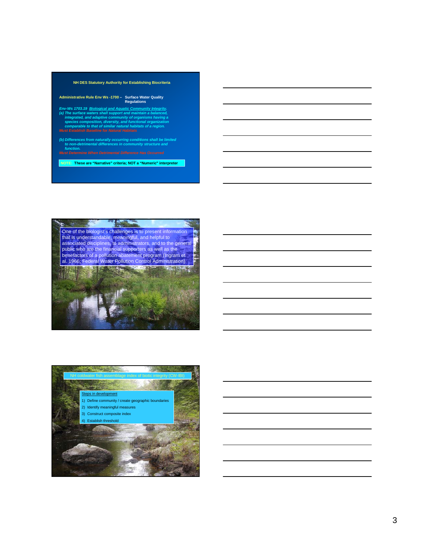



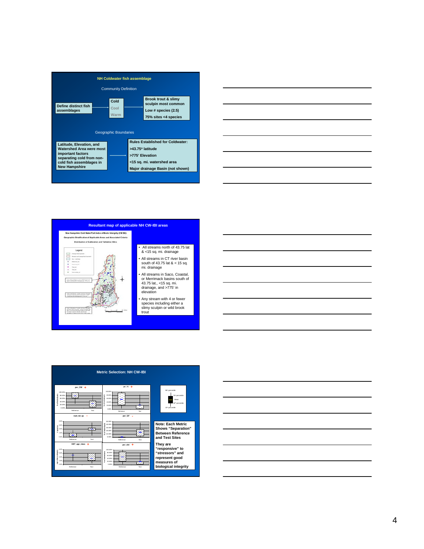









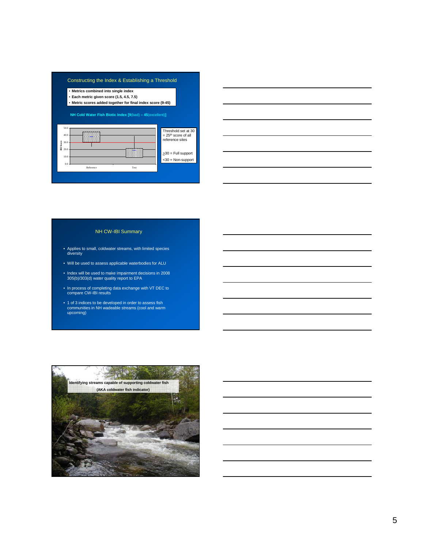#### Constructing the Index & Establishing a Threshold

• **Metrics combined into single index** • **Each metric given score (1.5, 4.5, 7.5)** • **Metric scores added together for final index score (9-45)**

#### **NH Cold Water Fish Biotic Index [9**(bad) **– 45**(excellent)**]**





#### NH CW-IBI Summary

- Applies to small, coldwater streams, with limited species diversity
- Will be used to assess applicable waterbodies for ALU
- Index will be used to make impairment decisions in 2008 305(b)/303(d) water quality report to EPA
- In process of completing data exchange with VT DEC to compare CW-IBI results
- 1 of 3 indices to be developed in order to assess fish communities in NH wadeable streams (cool and warm upcoming)

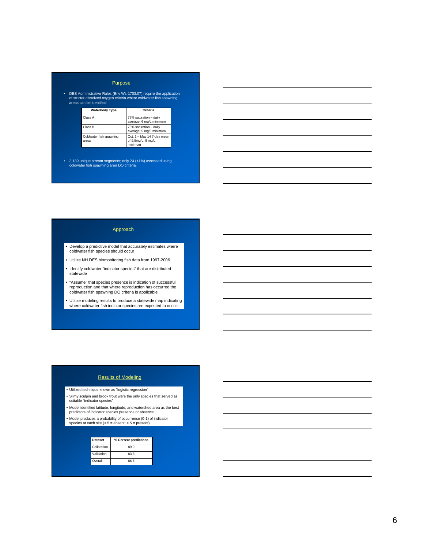#### Purpose

• DES Administrative Rules (Env Ws-1703.07) require the application of stricter dissolved oxygen criteria where coldwater fish spawning areas can be identified

| <b>Waterbody Type</b>            | Criteria                                                    |
|----------------------------------|-------------------------------------------------------------|
| Class A                          | 75% saturation - daily<br>average; 6 mg/L minimum           |
| Class B                          | 75% saturation - daily<br>average; 5 mg/L minimum           |
| Coldwater fish spawning<br>areas | Oct. 1 - May 14 7-day mean<br>of 9.5mg/L; 8 mg/L<br>minimum |

• 3,189 unique stream segments; only 24 (<1%) assessed using coldwater fish spawning area DO criteria.

#### Approach

- Develop a predictive model that accurately estimates where coldwater fish species should occur
- Utilize NH DES biomonitoring fish data from 1997-2006
- Identify coldwater "indicator species" that are distributed statewide
- "Assume" that species presence is indication of successful reproduction and that where reproduction has occurred the coldwater fish spawning DO criteria is applicable
- Utilize modeling results to produce a statewide map indicating where coldwater fish indictor species are expected to occur.

#### Results of Modeling

- Utilized technique known as "logistic regression"
- Slimy sculpin and brook trout were the only species that served as suitable "indicator species"
- 
- Model identified latitude, longitude, and watershed area as the best predictors of indicator species presence or absence
- Model produces a probability of occurrence (0-1) of indicator species at each site (<.5 = absent; >.5 = present)

| <b>Dataset</b> | % Correct predictions |
|----------------|-----------------------|
| Calibration    | 89.9                  |
| Validation     | 83.3                  |
| Overall        | 86.6                  |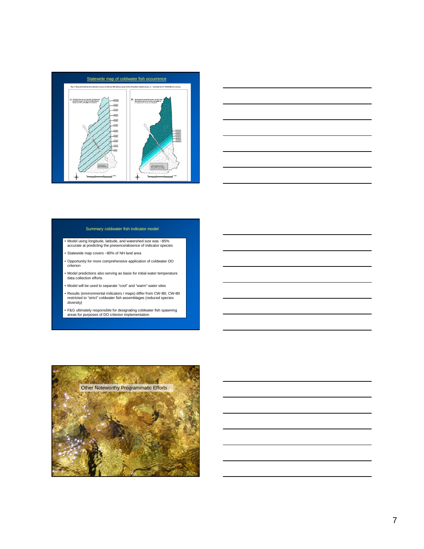



#### Summary coldwater fish indicator model

- Model using longitude, latitude, and watershed size was ~85% accurate at predicting the presence/absence of indicator species
- Statewide map covers ~80% of NH land area
- Opportunity for more comprehensive application of coldwater DO criterion
- Model predictions also serving as basis for initial water temperature data collection efforts
- Model will be used to separate "cool" and "warm" water sites
- Results (environmental indicators / maps) differ from CW-IBI; CW-IBI restricted to "strict" coldwater fish assemblages (reduced species diversity)
- F&G ultimately responsible for designating coldwater fish spawning areas for purposes of DO criterion implementation

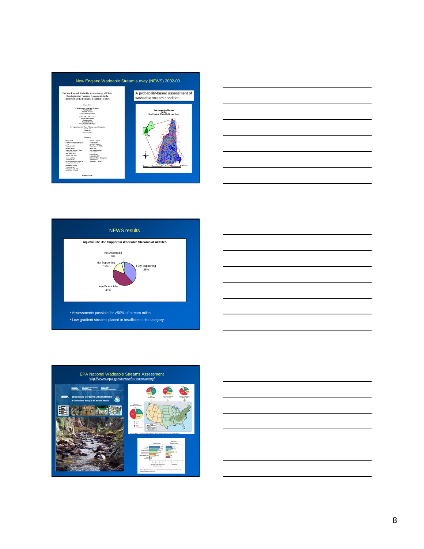







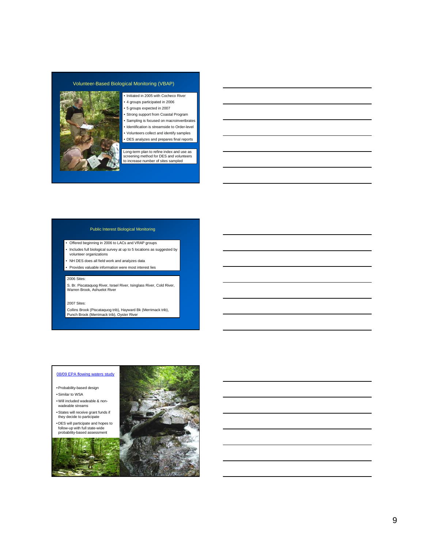#### Volunteer-Based Biological Monitoring (VBAP)



- Initiated in 2005 with Cocheco River
- 4 groups participated in 2006
- 5 groups expected in 2007
- Strong support from Coastal Program
- Sampling is focused on macroinvertbrates • Identification is streamside to Order-level
- Volunteers collect and identify samples
- DES analyzes and prepares final reports

Long-term plan to refine index and use as screening method for DES and volunteers to increase number of sites sampled

#### Public Interest Biological Monitoring

- Offered beginning in 2006 to LACs and VRAP groups
- Includes full biological survey at up to 5 locations as suggested by volunteer organizations
- NH DES does all field work and analyzes data
- Provides valuable information were most interest lies

#### 2006 Sites:

S. Br. Piscataquog River, Israel River, Isinglass River, Cold River, Warren Brook, Ashuelot River

#### 2007 Sites:

Collins Brook (Piscataquog trib), Hayward Bk (Merrimack trib), Punch Brook (Merrimack trib), Oyster River

#### 08/09 EPA flowing waters study

• Probability-based design

- Similar to WSA
- Will included wadeable & nonwadeable streams
- States will receive grant funds if they decide to participate
- DES will participate and hopes to follow-up with full state-wide probability-based assessment